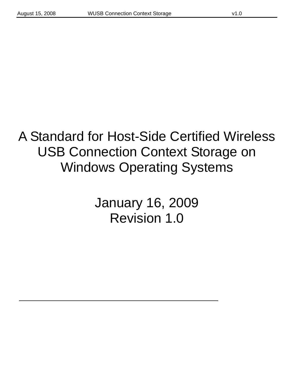# A Standard for Host-Side Certified Wireless USB Connection Context Storage on Windows Operating Systems

January 16, 2009 Revision 1.0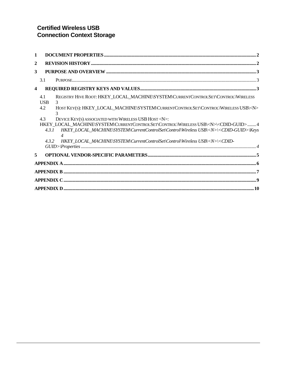| 1              |                                                                                                                                                                                                                      |  |
|----------------|----------------------------------------------------------------------------------------------------------------------------------------------------------------------------------------------------------------------|--|
| $\overline{2}$ |                                                                                                                                                                                                                      |  |
| 3              |                                                                                                                                                                                                                      |  |
|                | 3.1                                                                                                                                                                                                                  |  |
| 4              |                                                                                                                                                                                                                      |  |
|                | REGISTRY HIVE ROOT: HKEY LOCAL MACHINE\SYSTEM\CURRENTCONTROLSET\CONTROL\WIRELESS<br>4.1<br><b>USB</b><br>3                                                                                                           |  |
|                | HOST KEY(S): HKEY LOCAL MACHINE\SYSTEM\CURRENTCONTROLSET\CONTROL\WIRELESS USB\ <n><br/>4.2</n>                                                                                                                       |  |
|                | 43<br>DEVICE KEY(S) ASSOCIATED WITH WIRELESS USB HOST <n>:</n>                                                                                                                                                       |  |
|                | HKEY_LOCAL_MACHINE\SYSTEM\CURRENTCONTROLSET\CONTROL\WIRELESS USB\ <n>\<cdid-guid>  4<br/>4.3.1 HKEY LOCAL MACHINE\SYSTEM\CurrentControlSet\Control\Wireless USB\<n>\<cdid-guid>\Keys</cdid-guid></n></cdid-guid></n> |  |
|                | HKEY_LOCAL_MACHINE\SYSTEM\CurrentControlSet\Control\Wireless USB\ <n>\<cdid-<br>4.3.2</cdid-<br></n>                                                                                                                 |  |
|                |                                                                                                                                                                                                                      |  |
| 5              |                                                                                                                                                                                                                      |  |
|                |                                                                                                                                                                                                                      |  |
|                |                                                                                                                                                                                                                      |  |
|                |                                                                                                                                                                                                                      |  |
|                |                                                                                                                                                                                                                      |  |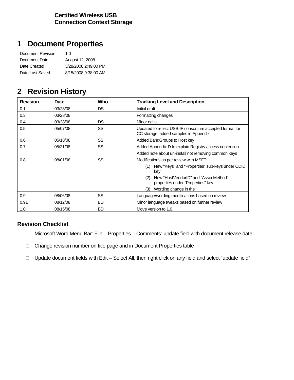### **1 Document Properties**

| Document Revision | 1.0                  |
|-------------------|----------------------|
| Document Date     | August 12, 2008      |
| Date Created      | 3/28/2008 2:49:00 PM |
| Date Last Saved   | 8/15/2008 9:38:00 AM |

### **2 Revision History**

| <b>Revision</b> | Date     | Who       | <b>Tracking Level and Description</b>                                                             |  |  |  |  |  |
|-----------------|----------|-----------|---------------------------------------------------------------------------------------------------|--|--|--|--|--|
| 0.1             | 03/28/08 | <b>DS</b> | Initial draft                                                                                     |  |  |  |  |  |
| 0.3             | 03/28/08 |           | Formatting changes                                                                                |  |  |  |  |  |
| 0.4             | 03/28/08 | <b>DS</b> | Minor edits                                                                                       |  |  |  |  |  |
| 0.5             | 05/07/08 | <b>SS</b> | Updated to reflect USB-IF consortium accepted format for<br>CC storage, added samples in Appendix |  |  |  |  |  |
| 0.6             | 05/18/08 | <b>SS</b> | Added BandGroups to Host key                                                                      |  |  |  |  |  |
| 0.7             | 05/21/08 | SS        | Added Appendix D to explain Registry access contention                                            |  |  |  |  |  |
|                 |          |           | Added note about un-install not removing common keys                                              |  |  |  |  |  |
| 0.8             | 08/01/08 | SS        | Modifications as per review with MSFT:                                                            |  |  |  |  |  |
|                 |          |           | New "Keys" and "Properties" sub-keys under CDID<br>(1)<br>key                                     |  |  |  |  |  |
|                 |          |           | New "HostVendorID" and "AssocMethod"<br>(2)<br>properties under "Properties" key                  |  |  |  |  |  |
|                 |          |           | Wording change in the<br>(3)                                                                      |  |  |  |  |  |
| 0.9             | 08/06/08 | <b>SS</b> | Language/wording modifications based on review                                                    |  |  |  |  |  |
| 0.91            | 08/12/08 | <b>BD</b> | Minor language tweaks based on further review                                                     |  |  |  |  |  |
| 1.0             | 08/15/08 | <b>BD</b> | Move version to 1.0.                                                                              |  |  |  |  |  |

### **Revision Checklist**

- □ Microsoft Word Menu Bar: File Properties Comments: update field with document release date
- Change revision number on title page and in Document Properties table
- □ Update document fields with Edit Select All, then right click on any field and select "update field"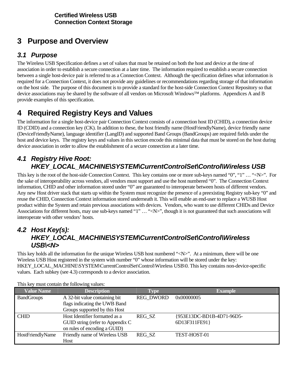# **3 Purpose and Overview**

### *3.1 Purpose*

The Wireless USB Specification defines a set of values that must be retained on both the host and device at the time of association in order to establish a secure connection at a later time. The information required to establish a secure connection between a single host-device pair is referred to as a Connection Context. Although the specification defines what information is required for a Connection Context, it does not provide any guidelines or recommendations regarding storage of that information on the host side. The purpose of this document is to provide a standard for the host-side Connection Context Repository so that device associations may be shared by the software of all vendors on Microsoft Windows™ platforms. Appendices A and B provide examples of this specification.

# **4 Required Registry Keys and Values**

The information for a single host-device pair Connection Context consists of a connection host ID (CHID), a connection device ID (CDID) and a connection key (CK). In addition to these, the host friendly name (HostFriendlyName), device friendly name (DeviceFriendlyName), language identifier (LangID) and supported Band Groups (BandGroups) are required fields under the host and device keys. The registry keys and values in this section encode this minimal data that must be stored on the host during device association in order to allow the establishment of a secure connection at a later time.

### *4.1 Registry Hive Root: HKEY\_LOCAL\_MACHINE\SYSTEM\CurrentControlSet\Control\Wireless USB*

This key is the root of the host-side Connection Context. This key contains one or more sub-keys named "0", "1" ... "<N>". For the sake of interoperability across vendors, all vendors must support and use the host numbered "0". The Connection Context information, CHID and other information stored under "0" are guaranteed to interoperate between hosts of different vendors. Any new Host driver stack that starts up within the System must recognize the presence of a preexisting Registry sub-key "0" and reuse the CHID, Connection Context information stored underneath it. This will enable an end-user to replace a WUSB Host product within the System and retain previous associations with devices. Vendors, who want to use different CHIDs and Device Associations for different hosts, may use sub-keys named "1"  $\dots$  " $\langle N \rangle$ ", though it is not guaranteed that such associations will interoperate with other vendors' hosts.

### *4.2 Host Key(s): HKEY\_LOCAL\_MACHINE\SYSTEM\CurrentControlSet\Control\Wireless USB\<N>*

This key holds all the information for the unique Wireless USB host numbered "<N>". At a minimum, there will be one Wireless USB Host registered in the system with number "0" whose information will be stored under the key: HKEY\_LOCAL\_MACHINE\SYSTEM\CurrentControlSet\Control\Wireless USB\0. This key contains non-device-specific values. Each subkey (see 4.3) corresponds to a device association.

| <b>Value Name</b> | <b>Description</b>               | Type             | <b>Example</b>            |
|-------------------|----------------------------------|------------------|---------------------------|
| <b>BandGroups</b> | A 32-bit value containing bit    | <b>REG DWORD</b> | 0x00000005                |
|                   | flags indicating the UWB Band    |                  |                           |
|                   | Groups supported by this Host    |                  |                           |
| <b>CHID</b>       | Host Identifier formatted as a   | REG SZ           | {953E13DC-BD1B-4D71-96D5- |
|                   | GUID string (refer to Appendix C |                  | 6D13F311FE91}             |
|                   | on rules of encoding a GUID)     |                  |                           |
| HostFriendlyName  | Friendly name of Wireless USB    | REG SZ           | TEST-HOST-01              |
|                   | Host                             |                  |                           |

This key must contain the following values: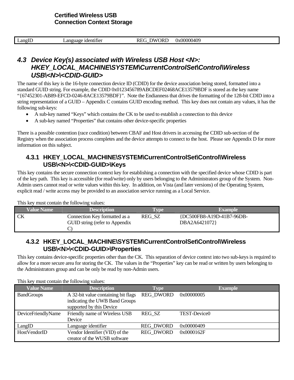| ')Rl<br>Ж<br>$\text{Lang}$ $\Gamma$<br>- identifier<br>_anguage<br>$\sim$<br>$\overline{\phantom{0}}$ | Jx00000409 |  | $\sim$ | -- |
|-------------------------------------------------------------------------------------------------------|------------|--|--------|----|
|-------------------------------------------------------------------------------------------------------|------------|--|--------|----|

### *4.3 Device Key(s) associated with Wireless USB Host <N>: HKEY\_LOCAL\_MACHINE\SYSTEM\CurrentControlSet\Control\Wireless USB\<N>\<CDID-GUID>*

The name of this key is the 16-byte connection device ID (CDID) for the device association being stored, formatted into a standard GUID string. For example, the CDID 0x0123456789ABCDEF02468ACE13579BDF is stored as the key name "{67452301-AB89-EFCD-0246-8ACE13579BDF}". Note the Endianness that drives the formatting of the 128-bit CDID into a string representation of a GUID – Appendix C contains GUID encoding method. This key does not contain any values, it has the following sub-keys:

- A sub-key named "Keys" which contains the CK to be used to establish a connection to this device
- A sub-key named "Properties" that contains other device-specific properties

There is a possible contention (race condition) between CBAF and Host drivers in accessing the CDID sub-section of the Registry when the association process completes and the device attempts to connect to the host. Please see Appendix D for more information on this subject.

### **4.3.1 HKEY\_LOCAL\_MACHINE\SYSTEM\CurrentControlSet\Control\Wireless USB\<N>\<CDID-GUID>\Keys**

This key contains the secure connection context key for establishing a connection with the specified device whose CDID is part of the key path. This key is accessible (for read/write) only by users belonging to the Administrators group of the System. Non-Admin users cannot read or write values within this key. In addition, on Vista (and later versions) of the Operating System, explicit read / write access may be provided to an association service running as a Local Service.

This key must contain the following values:

| <b>Value Name</b> | <b>Description</b>             | <b>Type</b> | <b>Example</b>            |
|-------------------|--------------------------------|-------------|---------------------------|
|                   | Connection Key formatted as a  | REG SZ      | {DC500FB8-A19D-41B7-96DB- |
|                   | GUID string (refer to Appendix |             | DBA2A6421072}             |
|                   |                                |             |                           |

### **4.3.2 HKEY\_LOCAL\_MACHINE\SYSTEM\CurrentControlSet\Control\Wireless USB\<N>\<CDID-GUID>\Properties**

This key contains device-specific properties other than the CK. This separation of device context into two sub-keys is required to allow for a more secure area for storing the CK. The values in the "Properties" key can be read or written by users belonging to the Administrators group and can be only be read by non-Admin users.

| <b>Value Name</b>  | <b>Description</b>                                                                                | <b>Type</b>      | <b>Example</b> |
|--------------------|---------------------------------------------------------------------------------------------------|------------------|----------------|
| <b>BandGroups</b>  | A 32-bit value containing bit flags<br>indicating the UWB Band Groups<br>supported by this Device | <b>REG DWORD</b> | 0x00000005     |
| DeviceFriendlyName | Friendly name of Wireless USB<br>Device                                                           | REG SZ           | TEST-Device0   |
| LangID             | Language identifier                                                                               | <b>REG DWORD</b> | 0x00000409     |
| HostVendorID       | Vendor Identifier (VID) of the<br>creator of the WUSB software                                    | <b>REG DWORD</b> | 0x0000162F     |

This key must contain the following values: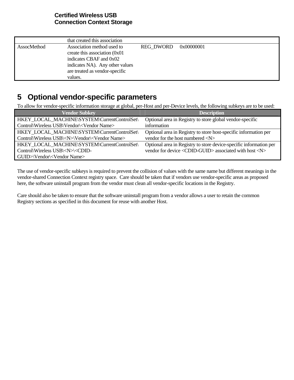|             | that created this association                                                                                                                                             |                  |            |
|-------------|---------------------------------------------------------------------------------------------------------------------------------------------------------------------------|------------------|------------|
| AssocMethod | Association method used to<br>create this association $(0x01)$<br>indicates CBAF and 0x02<br>indicates NA). Any other values<br>are treated as vendor-specific<br>values. | <b>REG DWORD</b> | 0x00000001 |

### **5 Optional vendor-specific parameters**

To allow for vendor-specific information storage at global, per-Host and per-Device levels, the following subkeys are to be used:

| <b>Vendor Subkey</b>                                                                                                                 | <b>Description</b>                                                     |
|--------------------------------------------------------------------------------------------------------------------------------------|------------------------------------------------------------------------|
| HKEY_LOCAL_MACHINE\SYSTEM\CurrentControlSet\                                                                                         | Optional area in Registry to store global vendor-specific              |
| Control\Wireless USB\Vendor\ <vendor name=""></vendor>                                                                               | information                                                            |
| HKEY_LOCAL_MACHINE\SYSTEM\CurrentControlSet\                                                                                         | Optional area in Registry to store host-specific information per       |
| Control\Wireless USB\ <n>\Vendor\<vendor name=""></vendor></n>                                                                       | vendor for the host numbered $\langle N \rangle$                       |
| HKEY_LOCAL_MACHINE\SYSTEM\CurrentControlSet\                                                                                         | Optional area in Registry to store device-specific information per     |
| Control\Wireless USB\ <n>\<cdid-< td=""><td>vendor for device <cdid-guid> associated with host <n></n></cdid-guid></td></cdid-<></n> | vendor for device <cdid-guid> associated with host <n></n></cdid-guid> |
| GUID>\Vendor\ <vendor name=""></vendor>                                                                                              |                                                                        |

The use of vendor-specific subkeys is required to prevent the collision of values with the same name but different meanings in the vendor-shared Connection Context registry space. Care should be taken that if vendors use vendor-specific areas as proposed here, the software uninstall program from the vendor must clean all vendor-specific locations in the Registry.

Care should also be taken to ensure that the software uninstall program from a vendor allows a user to retain the common Registry sections as specified in this document for reuse with another Host.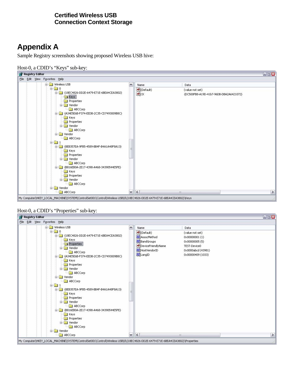# **Appendix A**

Sample Registry screenshots showing proposed Wireless USB hive:

#### Host-0, a CDID's "Keys" sub-key:



#### Host-0, a CDID's "Properties" sub-key:

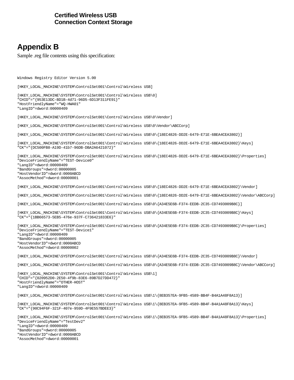## **Appendix B**

Sample .reg file contents using this specification:

Windows Registry Editor Version 5.00

[HKEY\_LOCAL\_MACHINE\SYSTEM\ControlSet001\Control\Wireless USB]

[HKEY\_LOCAL\_MACHINE\SYSTEM\ControlSet001\Control\Wireless USB\0] "CHID"="{953E13DC-BD1B-4d71-96D5-6D13F311FE91}" "HostFriendlyName"="WQ-HWA01" "LangID"=dword:00000409

[HKEY\_LOCAL\_MACHINE\SYSTEM\ControlSet001\Control\Wireless USB\0\Vendor]

[HKEY\_LOCAL\_MACHINE\SYSTEM\ControlSet001\Control\Wireless USB\0\Vendor\ABCCorp]

[HKEY\_LOCAL\_MACHINE\SYSTEM\ControlSet001\Control\Wireless USB\0\{18EC4826-DD2E-6479-E71E-6BEA4CEA3802}]

[HKEY\_LOCAL\_MACHINE\SYSTEM\ControlSet001\Control\Wireless USB\0\{18EC4826-DD2E-6479-E71E-6BEA4CEA3802}\Keys] "CK"="{DC500FB8-A19D-41b7-96DB-DBA2A6421072}"

[HKEY\_LOCAL\_MACHINE\SYSTEM\ControlSet001\Control\Wireless USB\0\{18EC4826-DD2E-6479-E71E-6BEA4CEA3802}\Properties] "DeviceFriendlyName"="TEST-Device0" "LangID"=dword:00000409 "BandGroups"=dword:00000005 "HostVendorID"=dword:0000ABCD "AssocMethod"=dword:00000001

[HKEY\_LOCAL\_MACHINE\SYSTEM\ControlSet001\Control\Wireless USB\0\{18EC4826-DD2E-6479-E71E-6BEA4CEA3802}\Vendor]

[HKEY\_LOCAL\_MACHINE\SYSTEM\ControlSet001\Control\Wireless USB\0\{18EC4826-DD2E-6479-E71E-6BEA4CEA3802}\Vendor\ABCCorp]

[HKEY\_LOCAL\_MACHINE\SYSTEM\ControlSet001\Control\Wireless USB\0\{A34E5E6B-F374-EEDB-2C35-CD7493009B8C}]

[HKEY\_LOCAL\_MACHINE\SYSTEM\ControlSet001\Control\Wireless USB\0\{A34E5E6B-F374-EEDB-2C35-CD7493009B8C}\Keys] "CK"="{1BB66573-5EB5-476e-937F-C736421833E6}"

[HKEY\_LOCAL\_MACHINE\SYSTEM\ControlSet001\Control\Wireless USB\0\{A34E5E6B-F374-EEDB-2C35-CD7493009B8C}\Properties] "DeviceFriendlyName"="TEST-Device1" "LangID"=dword:00000409 "BandGroups"=dword:00000005 "HostVendorID"=dword:0000ABCD "AssocMethod"=dword:00000002

[HKEY\_LOCAL\_MACHINE\SYSTEM\ControlSet001\Control\Wireless USB\0\{A34E5E6B-F374-EEDB-2C35-CD7493009B8C}\Vendor]

[HKEY\_LOCAL\_MACHINE\SYSTEM\ControlSet001\Control\Wireless USB\0\{A34E5E6B-F374-EEDB-2C35-CD7493009B8C}\Vendor\ABCCorp]

[HKEY\_LOCAL\_MACHINE\SYSTEM\ControlSet001\Control\Wireless USB\1] "CHID"="{020952D0-2E50-4f9b-83E6-89B7D27DD472}" "HostFriendlyName"="OTHER-HOST" "LangID"=dword:00000409

[HKEY\_LOCAL\_MACHINE\SYSTEM\ControlSet001\Control\Wireless USB\1\{8EB357EA-9FB5-4589-BB4F-B4A1A48F8A13}]

[HKEY\_LOCAL\_MACHINE\SYSTEM\ControlSet001\Control\Wireless USB\1\{8EB357EA-9FB5-4589-BB4F-B4A1A48F8A13}\Keys] "CK"="{90C94F6F-321F-407e-959D-4F9E557BDEE3}"

[HKEY\_LOCAL\_MACHINE\SYSTEM\ControlSet001\Control\Wireless USB\1\{8EB357EA-9FB5-4589-BB4F-B4A1A48F8A13}\Properties] "DeviceFriendlyName"="TestDev2"

"LangID"=dword:00000409

"BandGroups"=dword:00000005

"HostVendorID"=dword:0000ABCD

"AssocMethod"=dword:00000001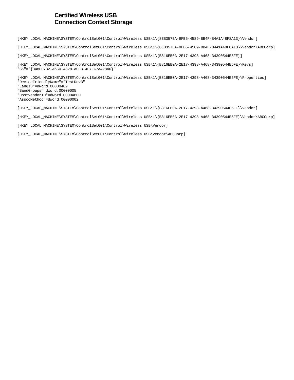[HKEY\_LOCAL\_MACHINE\SYSTEM\ControlSet001\Control\Wireless USB\1\{8EB357EA-9FB5-4589-BB4F-B4A1A48F8A13}\Vendor]

[HKEY\_LOCAL\_MACHINE\SYSTEM\ControlSet001\Control\Wireless USB\1\{8EB357EA-9FB5-4589-BB4F-B4A1A48F8A13}\Vendor\ABCCorp]

[HKEY\_LOCAL\_MACHINE\SYSTEM\ControlSet001\Control\Wireless USB\1\{B816EB0A-2E17-4398-A468-34390544E5FE}]

[HKEY\_LOCAL\_MACHINE\SYSTEM\ControlSet001\Control\Wireless USB\1\{B816EB0A-2E17-4398-A468-34390544E5FE}\Keys] "CK"="{348FF732-A6C0-4328-A0F8-4F7FC7A428AD}"

[HKEY\_LOCAL\_MACHINE\SYSTEM\ControlSet001\Control\Wireless USB\1\{B816EB0A-2E17-4398-A468-34390544E5FE}\Properties] "DeviceFriendlyName"="TestDev3" "LangID"=dword:00000409 "BandGroups"=dword:00000005 "HostVendorID"=dword:0000ABCD "AssocMethod"=dword:00000002

[HKEY\_LOCAL\_MACHINE\SYSTEM\ControlSet001\Control\Wireless USB\1\{B816EB0A-2E17-4398-A468-34390544E5FE}\Vendor]

[HKEY\_LOCAL\_MACHINE\SYSTEM\ControlSet001\Control\Wireless USB\1\{B816EB0A-2E17-4398-A468-34390544E5FE}\Vendor\ABCCorp]

[HKEY\_LOCAL\_MACHINE\SYSTEM\ControlSet001\Control\Wireless USB\Vendor]

[HKEY\_LOCAL\_MACHINE\SYSTEM\ControlSet001\Control\Wireless USB\Vendor\ABCCorp]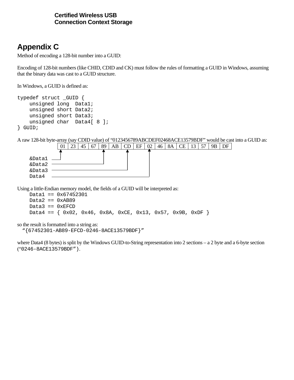# **Appendix C**

Method of encoding a 128-bit number into a GUID:

Encoding of 128-bit numbers (like CHID, CDID and CK) must follow the rules of formatting a GUID in Windows, assuming that the binary data was cast to a GUID structure.

In Windows, a GUID is defined as:

```
typedef struct _GUID { 
     unsigned long Data1; 
     unsigned short Data2; 
     unsigned short Data3; 
    unsigned char Data4[ 8 ];
} GUID;
```
A raw 128-bit byte-array (say CDID value) of "0123456789ABCDEF02468ACE13579BDF" would be cast into a GUID as:

|        | 01 | 23 | 45 | 67 | 89 | AB | CD | EF | 02 | $-46$ | <b>8A</b> | CE | 13 | 57 | QR |  |
|--------|----|----|----|----|----|----|----|----|----|-------|-----------|----|----|----|----|--|
|        |    |    |    |    |    |    |    |    |    |       |           |    |    |    |    |  |
| &Datal |    |    |    |    |    |    |    |    |    |       |           |    |    |    |    |  |
| &Data2 |    |    |    |    |    |    |    |    |    |       |           |    |    |    |    |  |
| &Data3 |    |    |    |    |    |    |    |    |    |       |           |    |    |    |    |  |
| Data4  |    |    |    |    |    |    |    |    |    |       |           |    |    |    |    |  |

Using a little-Endian memory model, the fields of a GUID will be interpreted as:

```
 Data1 == 0x67452301 
Data2 == 0xAB89Data3 == 0xEFCDData4 == \{ 0x02, 0x46, 0x8A, 0xCE, 0x13, 0x57, 0x9B, 0xDF \}
```
so the result is formatted into a string as:

```
 "{67452301-AB89-EFCD-0246-8ACE13579BDF}"
```
where Data4 (8 bytes) is split by the Windows GUID-to-String representation into 2 sections – a 2 byte and a 6-byte section ("0246-8ACE13579BDF").